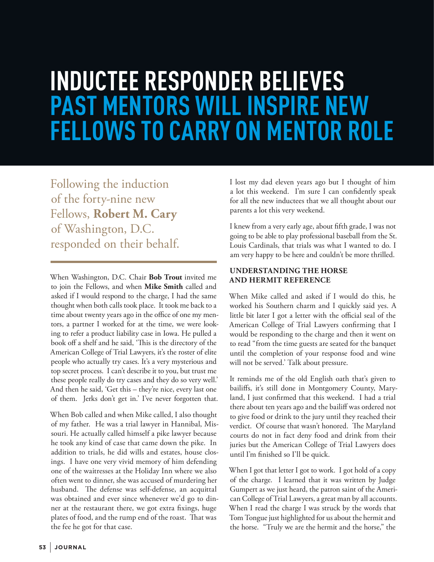# **INDUCTEE RESPONDER BELIEVES PAST MENTORS WILL INSPIRE NEW FELLOWS TO CARRY ON MENTOR ROLE**

Following the induction of the forty-nine new Fellows, **Robert M. Cary** of Washington, D.C. responded on their behalf.

When Washington, D.C. Chair **Bob Trout** invited me to join the Fellows, and when **Mike Smith** called and asked if I would respond to the charge, I had the same thought when both calls took place. It took me back to a time about twenty years ago in the office of one my mentors, a partner I worked for at the time, we were looking to refer a product liability case in Iowa. He pulled a book off a shelf and he said, 'This is the directory of the American College of Trial Lawyers, it's the roster of elite people who actually try cases. It's a very mysterious and top secret process. I can't describe it to you, but trust me these people really do try cases and they do so very well.' And then he said, 'Get this – they're nice, every last one of them. Jerks don't get in.' I've never forgotten that.

When Bob called and when Mike called, I also thought of my father. He was a trial lawyer in Hannibal, Missouri. He actually called himself a pike lawyer because he took any kind of case that came down the pike. In addition to trials, he did wills and estates, house closings. I have one very vivid memory of him defending one of the waitresses at the Holiday Inn where we also often went to dinner, she was accused of murdering her husband. The defense was self-defense, an acquittal was obtained and ever since whenever we'd go to dinner at the restaurant there, we got extra fixings, huge plates of food, and the rump end of the roast. That was the fee he got for that case.

I lost my dad eleven years ago but I thought of him a lot this weekend. I'm sure I can confidently speak for all the new inductees that we all thought about our parents a lot this very weekend.

I knew from a very early age, about fifth grade, I was not going to be able to play professional baseball from the St. Louis Cardinals, that trials was what I wanted to do. I am very happy to be here and couldn't be more thrilled.

## **UNDERSTANDING THE HORSE AND HERMIT REFERENCE**

When Mike called and asked if I would do this, he worked his Southern charm and I quickly said yes. A little bit later I got a letter with the official seal of the American College of Trial Lawyers confirming that I would be responding to the charge and then it went on to read "from the time guests are seated for the banquet until the completion of your response food and wine will not be served.' Talk about pressure.

It reminds me of the old English oath that's given to bailiffs, it's still done in Montgomery County, Maryland, I just confirmed that this weekend. I had a trial there about ten years ago and the bailiff was ordered not to give food or drink to the jury until they reached their verdict. Of course that wasn't honored. The Maryland courts do not in fact deny food and drink from their juries but the American College of Trial Lawyers does until I'm finished so I'll be quick.

When I got that letter I got to work. I got hold of a copy of the charge. I learned that it was written by Judge Gumpert as we just heard, the patron saint of the American College of Trial Lawyers, a great man by all accounts. When I read the charge I was struck by the words that Tom Tongue just highlighted for us about the hermit and the horse. "Truly we are the hermit and the horse," the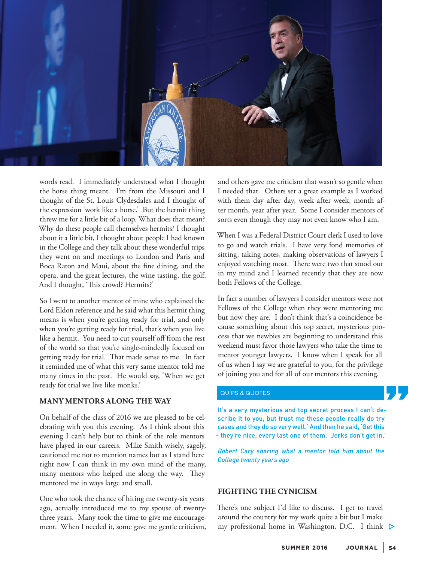

words read. I immediately understood what I thought the horse thing meant. I'm from the Missouri and I thought of the St. Louis Clydesdales and I thought of the expression 'work like a horse.' But the hermit thing threw me for a little bit of a loop. What does that mean? Why do these people call themselves hermits? I thought about it a little bit, I thought about people I had known in the College and they talk about these wonderful trips they went on and meetings to London and Paris and Boca Raton and Maui, about the fine dining, and the opera, and the great lectures, the wine tasting, the golf. And I thought, 'This crowd? Hermits?'

So I went to another mentor of mine who explained the Lord Eldon reference and he said what this hermit thing means is when you're getting ready for trial, and only when you're getting ready for trial, that's when you live like a hermit. You need to cut yourself off from the rest of the world so that you're single-mindedly focused on getting ready for trial. That made sense to me. In fact it reminded me of what this very same mentor told me many times in the past. He would say, 'When we get ready for trial we live like monks.'

#### **MANY MENTORS ALONG THE WAY**

On behalf of the class of 2016 we are pleased to be celebrating with you this evening. As I think about this evening I can't help but to think of the role mentors have played in our careers. Mike Smith wisely, sagely, cautioned me not to mention names but as I stand here right now I can think in my own mind of the many, many mentors who helped me along the way. They mentored me in ways large and small.

One who took the chance of hiring me twenty-six years ago, actually introduced me to my spouse of twentythree years. Many took the time to give me encouragement. When I needed it, some gave me gentle criticism, and others gave me criticism that wasn't so gentle when I needed that. Others set a great example as I worked with them day after day, week after week, month after month, year after year. Some I consider mentors of sorts even though they may not even know who I am.

When I was a Federal District Court clerk I used to love to go and watch trials. I have very fond memories of sitting, taking notes, making observations of lawyers I enjoyed watching most. There were two that stood out in my mind and I learned recently that they are now both Fellows of the College.

In fact a number of lawyers I consider mentors were not Fellows of the College when they were mentoring me but now they are. I don't think that's a coincidence because something about this top secret, mysterious process that we newbies are beginning to understand this weekend must favor those lawyers who take the time to mentor younger lawyers. I know when I speak for all of us when I say we are grateful to you, for the privilege of joining you and for all of our mentors this evening.

### QUIPS & QUOTES

It's a very mysterious and top secret process I can't describe it to you, but trust me these people really do try cases and they do so very well.' And then he said, 'Get this – they're nice, every last one of them. Jerks don't get in.'

*Robert Cary sharing what a mentor told him about the College twenty years ago*

### **FIGHTING THE CYNICISM**

There's one subject I'd like to discuss. I get to travel around the country for my work quite a bit but I make my professional home in Washington, D.C. I think  $\triangleright$